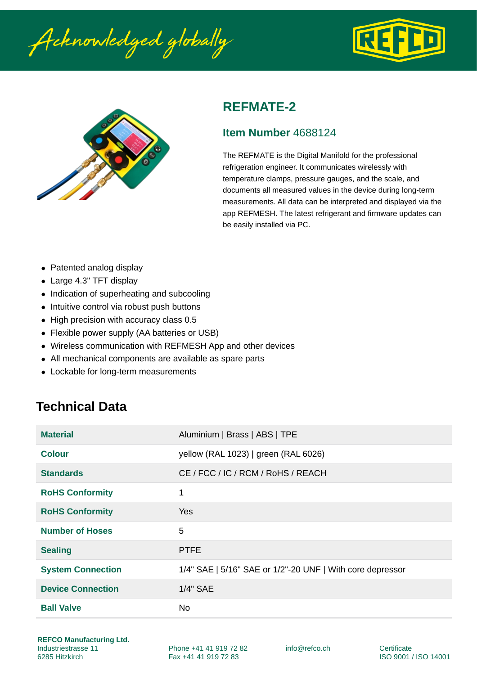Acknowledged globally





#### **REFMATE-2**

#### **Item Number** 4688124

The REFMATE is the Digital Manifold for the professional refrigeration engineer. It communicates wirelessly with temperature clamps, pressure gauges, and the scale, and documents all measured values in the device during long-term measurements. All data can be interpreted and displayed via the app REFMESH. The latest refrigerant and firmware updates can be easily installed via PC.

- Patented analog display
- Large 4.3" TFT display
- Indication of superheating and subcooling
- Intuitive control via robust push buttons
- High precision with accuracy class 0.5
- Flexible power supply (AA batteries or USB)
- Wireless communication with REFMESH App and other devices
- All mechanical components are available as spare parts
- Lockable for long-term measurements

# **Technical Data**

| <b>Material</b>          | Aluminium   Brass   ABS   TPE                             |
|--------------------------|-----------------------------------------------------------|
| <b>Colour</b>            | yellow (RAL 1023)   green (RAL 6026)                      |
| <b>Standards</b>         | CE / FCC / IC / RCM / RoHS / REACH                        |
| <b>RoHS Conformity</b>   | 1                                                         |
| <b>RoHS Conformity</b>   | <b>Yes</b>                                                |
| <b>Number of Hoses</b>   | 5                                                         |
| <b>Sealing</b>           | <b>PTFE</b>                                               |
| <b>System Connection</b> | 1/4" SAE   5/16" SAE or 1/2"-20 UNF   With core depressor |
| <b>Device Connection</b> | 1/4" SAE                                                  |
| <b>Ball Valve</b>        | No.                                                       |

info@refco.ch Certificate

ISO 9001 / ISO 14001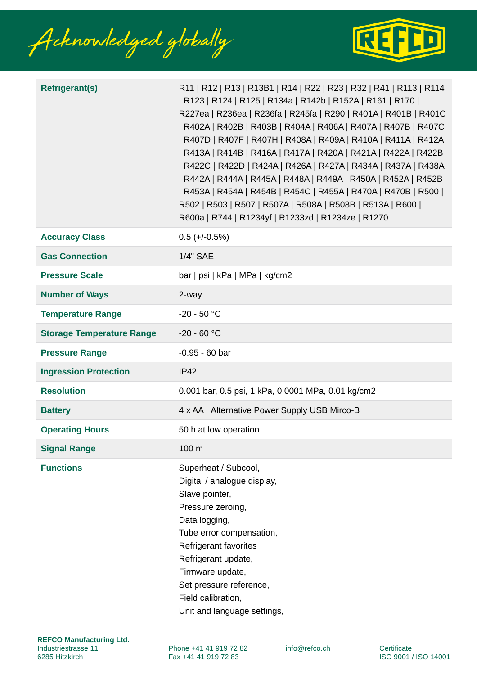Acknowledged globally



| <b>Refrigerant(s)</b>            | R11   R12   R13   R13B1   R14   R22   R23   R32   R41   R113   R114<br>  R123   R124   R125   R134a   R142b   R152A   R161   R170  <br>R227ea   R236ea   R236fa   R245fa   R290   R401A   R401B   R401C<br>  R402A   R402B   R403B   R404A   R406A   R407A   R407B   R407C<br>  R407D   R407F   R407H   R408A   R409A   R410A   R411A   R412A<br>  R413A   R414B   R416A   R417A   R420A   R421A   R422A   R422B<br>  R422C   R422D   R424A   R426A   R427A   R434A   R437A   R438A<br>  R442A   R444A   R445A   R448A   R449A   R450A   R452A   R452B<br>  R453A   R454A   R454B   R454C   R455A   R470A   R470B   R500  <br>R502   R503   R507   R507A   R508A   R508B   R513A   R600  <br>R600a   R744   R1234yf   R1233zd   R1234ze   R1270 |  |
|----------------------------------|-------------------------------------------------------------------------------------------------------------------------------------------------------------------------------------------------------------------------------------------------------------------------------------------------------------------------------------------------------------------------------------------------------------------------------------------------------------------------------------------------------------------------------------------------------------------------------------------------------------------------------------------------------------------------------------------------------------------------------------------------|--|
| <b>Accuracy Class</b>            | $0.5 (+/-0.5%)$                                                                                                                                                                                                                                                                                                                                                                                                                                                                                                                                                                                                                                                                                                                                 |  |
| <b>Gas Connection</b>            | 1/4" SAE                                                                                                                                                                                                                                                                                                                                                                                                                                                                                                                                                                                                                                                                                                                                        |  |
| <b>Pressure Scale</b>            | $bar  psi $ kPa   MPa   kg/cm2                                                                                                                                                                                                                                                                                                                                                                                                                                                                                                                                                                                                                                                                                                                  |  |
| <b>Number of Ways</b>            | 2-way                                                                                                                                                                                                                                                                                                                                                                                                                                                                                                                                                                                                                                                                                                                                           |  |
| <b>Temperature Range</b>         | $-20 - 50 °C$                                                                                                                                                                                                                                                                                                                                                                                                                                                                                                                                                                                                                                                                                                                                   |  |
| <b>Storage Temperature Range</b> | $-20 - 60 °C$                                                                                                                                                                                                                                                                                                                                                                                                                                                                                                                                                                                                                                                                                                                                   |  |
| <b>Pressure Range</b>            | $-0.95 - 60$ bar                                                                                                                                                                                                                                                                                                                                                                                                                                                                                                                                                                                                                                                                                                                                |  |
| <b>Ingression Protection</b>     | <b>IP42</b>                                                                                                                                                                                                                                                                                                                                                                                                                                                                                                                                                                                                                                                                                                                                     |  |
| <b>Resolution</b>                | 0.001 bar, 0.5 psi, 1 kPa, 0.0001 MPa, 0.01 kg/cm2                                                                                                                                                                                                                                                                                                                                                                                                                                                                                                                                                                                                                                                                                              |  |
| <b>Battery</b>                   | 4 x AA   Alternative Power Supply USB Mirco-B                                                                                                                                                                                                                                                                                                                                                                                                                                                                                                                                                                                                                                                                                                   |  |
| <b>Operating Hours</b>           | 50 h at low operation                                                                                                                                                                                                                                                                                                                                                                                                                                                                                                                                                                                                                                                                                                                           |  |
| <b>Signal Range</b>              | 100 m                                                                                                                                                                                                                                                                                                                                                                                                                                                                                                                                                                                                                                                                                                                                           |  |
| <b>Functions</b>                 | Superheat / Subcool,<br>Digital / analogue display,<br>Slave pointer,<br>Pressure zeroing,<br>Data logging,<br>Tube error compensation,<br>Refrigerant favorites<br>Refrigerant update,<br>Firmware update,<br>Set pressure reference,<br>Field calibration,<br>Unit and language settings,                                                                                                                                                                                                                                                                                                                                                                                                                                                     |  |

Phone +41 41 919 72 82 Fax +41 41 919 72 83

info@refco.ch Certificate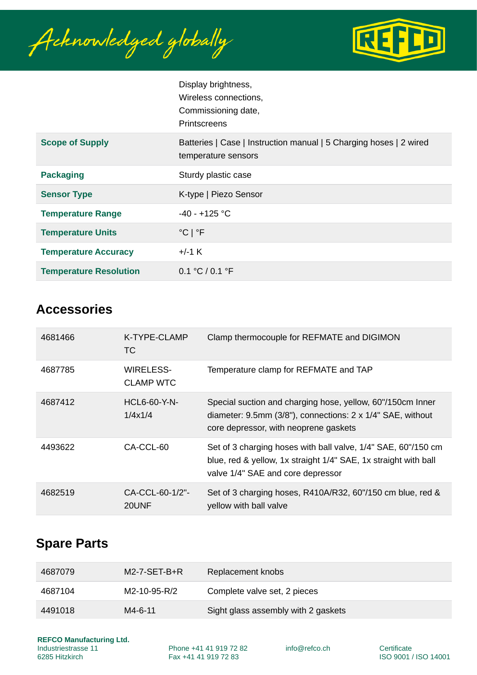Acknowledged globally



|                               | Display brightness,<br>Wireless connections,<br>Commissioning date,<br>Printscreens       |
|-------------------------------|-------------------------------------------------------------------------------------------|
| <b>Scope of Supply</b>        | Batteries   Case   Instruction manual   5 Charging hoses   2 wired<br>temperature sensors |
| <b>Packaging</b>              | Sturdy plastic case                                                                       |
| <b>Sensor Type</b>            | K-type   Piezo Sensor                                                                     |
| <b>Temperature Range</b>      | $-40 - +125$ °C                                                                           |
| <b>Temperature Units</b>      | $^{\circ}$ C   $^{\circ}$ F                                                               |
| <b>Temperature Accuracy</b>   | +/-1 K                                                                                    |
| <b>Temperature Resolution</b> | 0.1 °C / 0.1 °F                                                                           |

### **Accessories**

| 4681466 | K-TYPE-CLAMP<br>TC.           | Clamp thermocouple for REFMATE and DIGIMON                                                                                                                                |
|---------|-------------------------------|---------------------------------------------------------------------------------------------------------------------------------------------------------------------------|
| 4687785 | WIRELESS-<br><b>CLAMP WTC</b> | Temperature clamp for REFMATE and TAP                                                                                                                                     |
| 4687412 | $HCL6-60-Y-N-$<br>1/4x1/4     | Special suction and charging hose, yellow, 60"/150cm Inner<br>diameter: 9.5mm (3/8"), connections: $2 \times 1/4$ " SAE, without<br>core depressor, with neoprene gaskets |
| 4493622 | CA-CCL-60                     | Set of 3 charging hoses with ball valve, 1/4" SAE, 60"/150 cm<br>blue, red & yellow, 1x straight 1/4" SAE, 1x straight with ball<br>valve 1/4" SAE and core depressor     |
| 4682519 | $CA-CL-60-1/2"$ -<br>20UNF    | Set of 3 charging hoses, R410A/R32, 60"/150 cm blue, red &<br>yellow with ball valve                                                                                      |

# **Spare Parts**

| 4687079 | $M2$ -7-SET-B+R | Replacement knobs                   |
|---------|-----------------|-------------------------------------|
| 4687104 | M2-10-95-R/2    | Complete valve set, 2 pieces        |
| 4491018 | $M4 - 6 - 11$   | Sight glass assembly with 2 gaskets |

**REFCO Manufacturing Ltd.** Industriestrasse 11 6285 Hitzkirch

Phone +41 41 919 72 82 Fax +41 41 919 72 83

info@refco.ch Certificate

ISO 9001 / ISO 14001